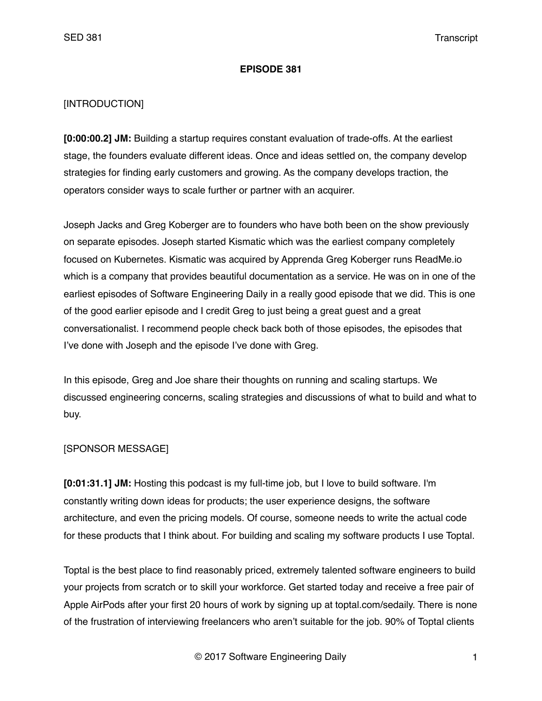#### **EPISODE 381**

### [INTRODUCTION]

**[0:00:00.2] JM:** Building a startup requires constant evaluation of trade-offs. At the earliest stage, the founders evaluate different ideas. Once and ideas settled on, the company develop strategies for finding early customers and growing. As the company develops traction, the operators consider ways to scale further or partner with an acquirer.

Joseph Jacks and Greg Koberger are to founders who have both been on the show previously on separate episodes. Joseph started Kismatic which was the earliest company completely focused on Kubernetes. Kismatic was acquired by Apprenda Greg Koberger runs ReadMe.io which is a company that provides beautiful documentation as a service. He was on in one of the earliest episodes of Software Engineering Daily in a really good episode that we did. This is one of the good earlier episode and I credit Greg to just being a great guest and a great conversationalist. I recommend people check back both of those episodes, the episodes that I've done with Joseph and the episode I've done with Greg.

In this episode, Greg and Joe share their thoughts on running and scaling startups. We discussed engineering concerns, scaling strategies and discussions of what to build and what to buy.

### [SPONSOR MESSAGE]

**[0:01:31.1] JM:** Hosting this podcast is my full-time job, but I love to build software. I'm constantly writing down ideas for products; the user experience designs, the software architecture, and even the pricing models. Of course, someone needs to write the actual code for these products that I think about. For building and scaling my software products I use Toptal.

Toptal is the best place to find reasonably priced, extremely talented software engineers to build your projects from scratch or to skill your workforce. Get started today and receive a free pair of Apple AirPods after your first 20 hours of work by signing up at toptal.com/sedaily. There is none of the frustration of interviewing freelancers who aren't suitable for the job. 90% of Toptal clients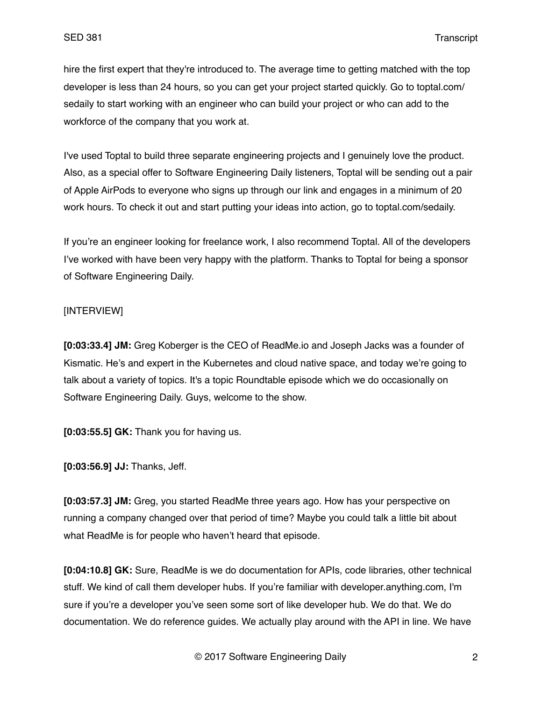hire the first expert that they're introduced to. The average time to getting matched with the top developer is less than 24 hours, so you can get your project started quickly. Go to toptal.com/ sedaily to start working with an engineer who can build your project or who can add to the workforce of the company that you work at.

I've used Toptal to build three separate engineering projects and I genuinely love the product. Also, as a special offer to Software Engineering Daily listeners, Toptal will be sending out a pair of Apple AirPods to everyone who signs up through our link and engages in a minimum of 20 work hours. To check it out and start putting your ideas into action, go to toptal.com/sedaily.

If you're an engineer looking for freelance work, I also recommend Toptal. All of the developers I've worked with have been very happy with the platform. Thanks to Toptal for being a sponsor of Software Engineering Daily.

### [INTERVIEW]

**[0:03:33.4] JM:** Greg Koberger is the CEO of ReadMe.io and Joseph Jacks was a founder of Kismatic. He's and expert in the Kubernetes and cloud native space, and today we're going to talk about a variety of topics. It's a topic Roundtable episode which we do occasionally on Software Engineering Daily. Guys, welcome to the show.

**[0:03:55.5] GK:** Thank you for having us.

**[0:03:56.9] JJ:** Thanks, Jeff.

**[0:03:57.3] JM:** Greg, you started ReadMe three years ago. How has your perspective on running a company changed over that period of time? Maybe you could talk a little bit about what ReadMe is for people who haven't heard that episode.

**[0:04:10.8] GK:** Sure, ReadMe is we do documentation for APIs, code libraries, other technical stuff. We kind of call them developer hubs. If you're familiar with developer.anything.com, I'm sure if you're a developer you've seen some sort of like developer hub. We do that. We do documentation. We do reference guides. We actually play around with the API in line. We have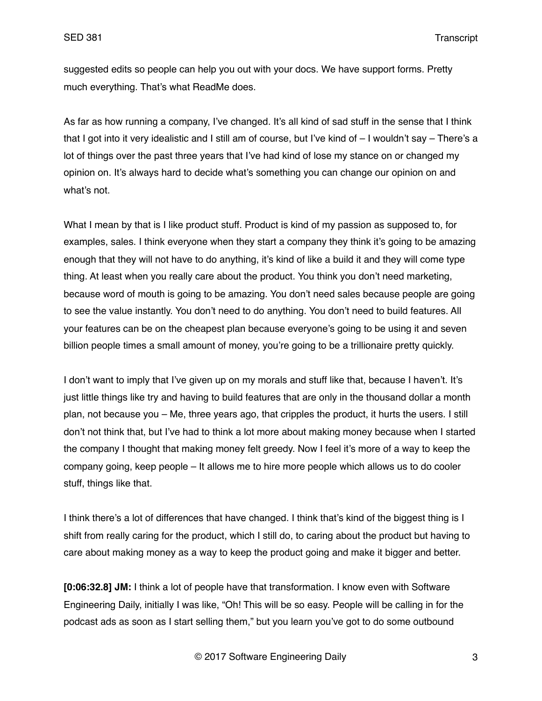suggested edits so people can help you out with your docs. We have support forms. Pretty much everything. That's what ReadMe does.

As far as how running a company, I've changed. It's all kind of sad stuff in the sense that I think that I got into it very idealistic and I still am of course, but I've kind of – I wouldn't say – There's a lot of things over the past three years that I've had kind of lose my stance on or changed my opinion on. It's always hard to decide what's something you can change our opinion on and what's not.

What I mean by that is I like product stuff. Product is kind of my passion as supposed to, for examples, sales. I think everyone when they start a company they think it's going to be amazing enough that they will not have to do anything, it's kind of like a build it and they will come type thing. At least when you really care about the product. You think you don't need marketing, because word of mouth is going to be amazing. You don't need sales because people are going to see the value instantly. You don't need to do anything. You don't need to build features. All your features can be on the cheapest plan because everyone's going to be using it and seven billion people times a small amount of money, you're going to be a trillionaire pretty quickly.

I don't want to imply that I've given up on my morals and stuff like that, because I haven't. It's just little things like try and having to build features that are only in the thousand dollar a month plan, not because you – Me, three years ago, that cripples the product, it hurts the users. I still don't not think that, but I've had to think a lot more about making money because when I started the company I thought that making money felt greedy. Now I feel it's more of a way to keep the company going, keep people – It allows me to hire more people which allows us to do cooler stuff, things like that.

I think there's a lot of differences that have changed. I think that's kind of the biggest thing is I shift from really caring for the product, which I still do, to caring about the product but having to care about making money as a way to keep the product going and make it bigger and better.

**[0:06:32.8] JM:** I think a lot of people have that transformation. I know even with Software Engineering Daily, initially I was like, "Oh! This will be so easy. People will be calling in for the podcast ads as soon as I start selling them," but you learn you've got to do some outbound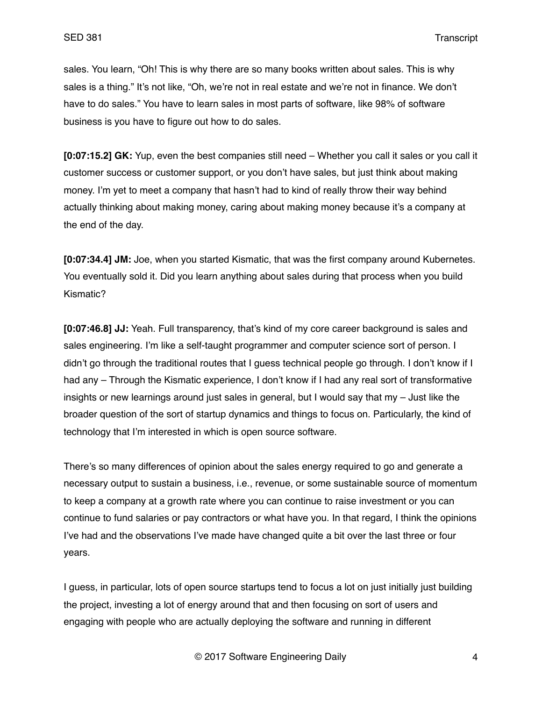sales. You learn, "Oh! This is why there are so many books written about sales. This is why sales is a thing." It's not like, "Oh, we're not in real estate and we're not in finance. We don't have to do sales." You have to learn sales in most parts of software, like 98% of software business is you have to figure out how to do sales.

**[0:07:15.2] GK:** Yup, even the best companies still need – Whether you call it sales or you call it customer success or customer support, or you don't have sales, but just think about making money. I'm yet to meet a company that hasn't had to kind of really throw their way behind actually thinking about making money, caring about making money because it's a company at the end of the day.

**[0:07:34.4] JM:** Joe, when you started Kismatic, that was the first company around Kubernetes. You eventually sold it. Did you learn anything about sales during that process when you build Kismatic?

**[0:07:46.8] JJ:** Yeah. Full transparency, that's kind of my core career background is sales and sales engineering. I'm like a self-taught programmer and computer science sort of person. I didn't go through the traditional routes that I guess technical people go through. I don't know if I had any – Through the Kismatic experience, I don't know if I had any real sort of transformative insights or new learnings around just sales in general, but I would say that my – Just like the broader question of the sort of startup dynamics and things to focus on. Particularly, the kind of technology that I'm interested in which is open source software.

There's so many differences of opinion about the sales energy required to go and generate a necessary output to sustain a business, i.e., revenue, or some sustainable source of momentum to keep a company at a growth rate where you can continue to raise investment or you can continue to fund salaries or pay contractors or what have you. In that regard, I think the opinions I've had and the observations I've made have changed quite a bit over the last three or four years.

I guess, in particular, lots of open source startups tend to focus a lot on just initially just building the project, investing a lot of energy around that and then focusing on sort of users and engaging with people who are actually deploying the software and running in different

© 2017 Software Engineering Daily 4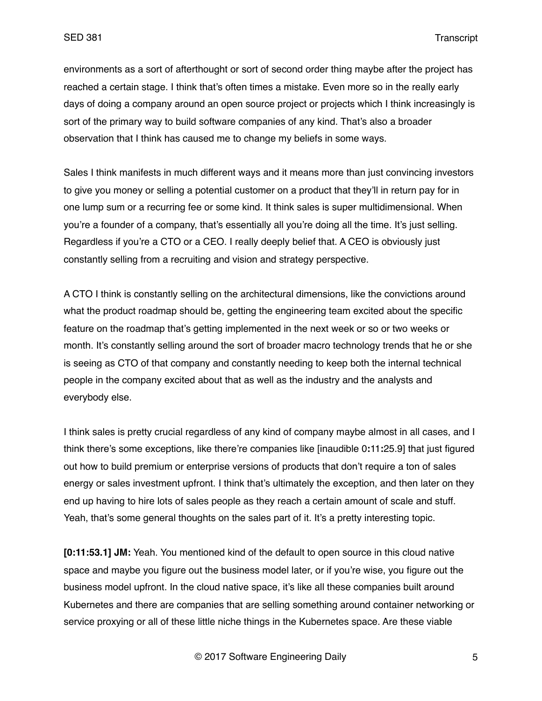environments as a sort of afterthought or sort of second order thing maybe after the project has reached a certain stage. I think that's often times a mistake. Even more so in the really early days of doing a company around an open source project or projects which I think increasingly is sort of the primary way to build software companies of any kind. That's also a broader observation that I think has caused me to change my beliefs in some ways.

Sales I think manifests in much different ways and it means more than just convincing investors to give you money or selling a potential customer on a product that they'll in return pay for in one lump sum or a recurring fee or some kind. It think sales is super multidimensional. When you're a founder of a company, that's essentially all you're doing all the time. It's just selling. Regardless if you're a CTO or a CEO. I really deeply belief that. A CEO is obviously just constantly selling from a recruiting and vision and strategy perspective.

A CTO I think is constantly selling on the architectural dimensions, like the convictions around what the product roadmap should be, getting the engineering team excited about the specific feature on the roadmap that's getting implemented in the next week or so or two weeks or month. It's constantly selling around the sort of broader macro technology trends that he or she is seeing as CTO of that company and constantly needing to keep both the internal technical people in the company excited about that as well as the industry and the analysts and everybody else.

I think sales is pretty crucial regardless of any kind of company maybe almost in all cases, and I think there's some exceptions, like there're companies like [inaudible 0**:**11**:**25.9] that just figured out how to build premium or enterprise versions of products that don't require a ton of sales energy or sales investment upfront. I think that's ultimately the exception, and then later on they end up having to hire lots of sales people as they reach a certain amount of scale and stuff. Yeah, that's some general thoughts on the sales part of it. It's a pretty interesting topic.

**[0:11:53.1] JM:** Yeah. You mentioned kind of the default to open source in this cloud native space and maybe you figure out the business model later, or if you're wise, you figure out the business model upfront. In the cloud native space, it's like all these companies built around Kubernetes and there are companies that are selling something around container networking or service proxying or all of these little niche things in the Kubernetes space. Are these viable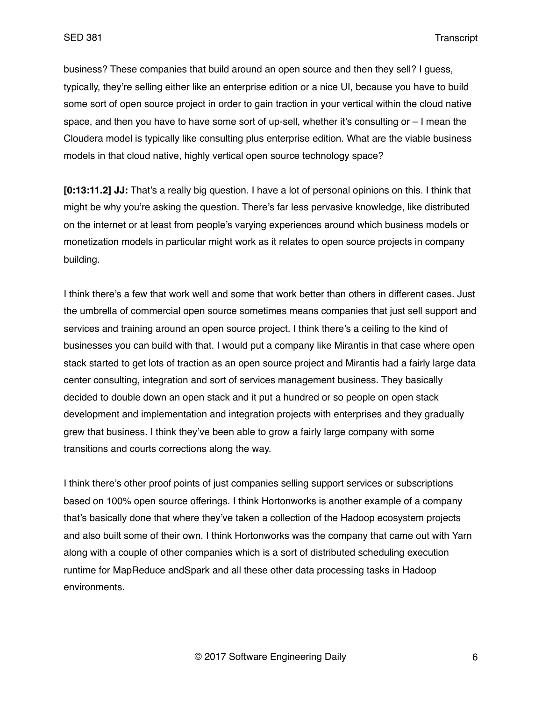business? These companies that build around an open source and then they sell? I guess, typically, they're selling either like an enterprise edition or a nice UI, because you have to build some sort of open source project in order to gain traction in your vertical within the cloud native space, and then you have to have some sort of up-sell, whether it's consulting or – I mean the Cloudera model is typically like consulting plus enterprise edition. What are the viable business models in that cloud native, highly vertical open source technology space?

**[0:13:11.2] JJ:** That's a really big question. I have a lot of personal opinions on this. I think that might be why you're asking the question. There's far less pervasive knowledge, like distributed on the internet or at least from people's varying experiences around which business models or monetization models in particular might work as it relates to open source projects in company building.

I think there's a few that work well and some that work better than others in different cases. Just the umbrella of commercial open source sometimes means companies that just sell support and services and training around an open source project. I think there's a ceiling to the kind of businesses you can build with that. I would put a company like Mirantis in that case where open stack started to get lots of traction as an open source project and Mirantis had a fairly large data center consulting, integration and sort of services management business. They basically decided to double down an open stack and it put a hundred or so people on open stack development and implementation and integration projects with enterprises and they gradually grew that business. I think they've been able to grow a fairly large company with some transitions and courts corrections along the way.

I think there's other proof points of just companies selling support services or subscriptions based on 100% open source offerings. I think Hortonworks is another example of a company that's basically done that where they've taken a collection of the Hadoop ecosystem projects and also built some of their own. I think Hortonworks was the company that came out with Yarn along with a couple of other companies which is a sort of distributed scheduling execution runtime for MapReduce andSpark and all these other data processing tasks in Hadoop environments.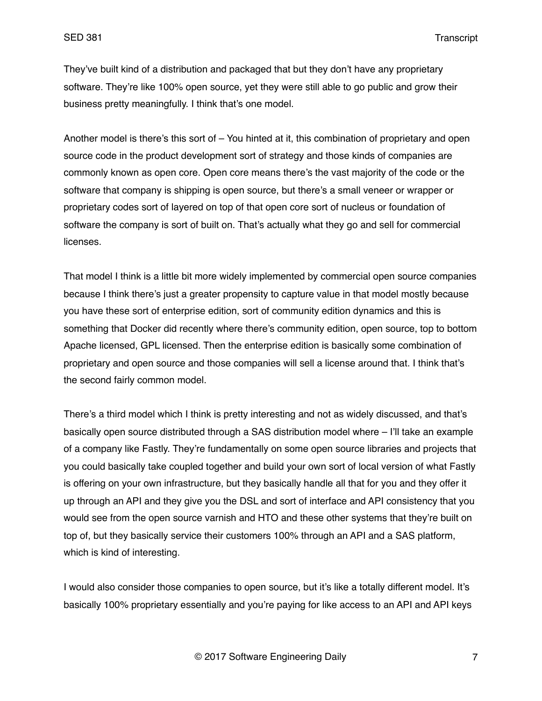They've built kind of a distribution and packaged that but they don't have any proprietary software. They're like 100% open source, yet they were still able to go public and grow their business pretty meaningfully. I think that's one model.

Another model is there's this sort of – You hinted at it, this combination of proprietary and open source code in the product development sort of strategy and those kinds of companies are commonly known as open core. Open core means there's the vast majority of the code or the software that company is shipping is open source, but there's a small veneer or wrapper or proprietary codes sort of layered on top of that open core sort of nucleus or foundation of software the company is sort of built on. That's actually what they go and sell for commercial licenses.

That model I think is a little bit more widely implemented by commercial open source companies because I think there's just a greater propensity to capture value in that model mostly because you have these sort of enterprise edition, sort of community edition dynamics and this is something that Docker did recently where there's community edition, open source, top to bottom Apache licensed, GPL licensed. Then the enterprise edition is basically some combination of proprietary and open source and those companies will sell a license around that. I think that's the second fairly common model.

There's a third model which I think is pretty interesting and not as widely discussed, and that's basically open source distributed through a SAS distribution model where – I'll take an example of a company like Fastly. They're fundamentally on some open source libraries and projects that you could basically take coupled together and build your own sort of local version of what Fastly is offering on your own infrastructure, but they basically handle all that for you and they offer it up through an API and they give you the DSL and sort of interface and API consistency that you would see from the open source varnish and HTO and these other systems that they're built on top of, but they basically service their customers 100% through an API and a SAS platform, which is kind of interesting.

I would also consider those companies to open source, but it's like a totally different model. It's basically 100% proprietary essentially and you're paying for like access to an API and API keys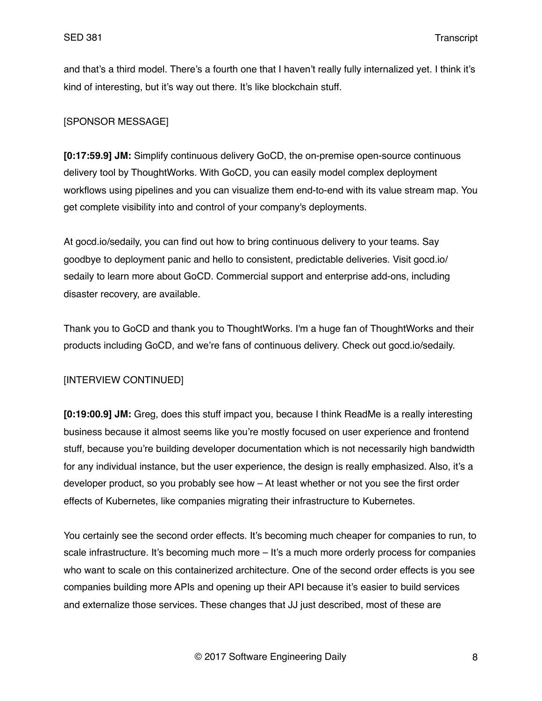and that's a third model. There's a fourth one that I haven't really fully internalized yet. I think it's kind of interesting, but it's way out there. It's like blockchain stuff.

# [SPONSOR MESSAGE]

**[0:17:59.9] JM:** Simplify continuous delivery GoCD, the on-premise open-source continuous delivery tool by ThoughtWorks. With GoCD, you can easily model complex deployment workflows using pipelines and you can visualize them end-to-end with its value stream map. You get complete visibility into and control of your company's deployments.

At gocd.io/sedaily, you can find out how to bring continuous delivery to your teams. Say goodbye to deployment panic and hello to consistent, predictable deliveries. Visit gocd.io/ sedaily to learn more about GoCD. Commercial support and enterprise add-ons, including disaster recovery, are available.

Thank you to GoCD and thank you to ThoughtWorks. I'm a huge fan of ThoughtWorks and their products including GoCD, and we're fans of continuous delivery. Check out gocd.io/sedaily.

# [INTERVIEW CONTINUED]

**[0:19:00.9] JM:** Greg, does this stuff impact you, because I think ReadMe is a really interesting business because it almost seems like you're mostly focused on user experience and frontend stuff, because you're building developer documentation which is not necessarily high bandwidth for any individual instance, but the user experience, the design is really emphasized. Also, it's a developer product, so you probably see how – At least whether or not you see the first order effects of Kubernetes, like companies migrating their infrastructure to Kubernetes.

You certainly see the second order effects. It's becoming much cheaper for companies to run, to scale infrastructure. It's becoming much more – It's a much more orderly process for companies who want to scale on this containerized architecture. One of the second order effects is you see companies building more APIs and opening up their API because it's easier to build services and externalize those services. These changes that JJ just described, most of these are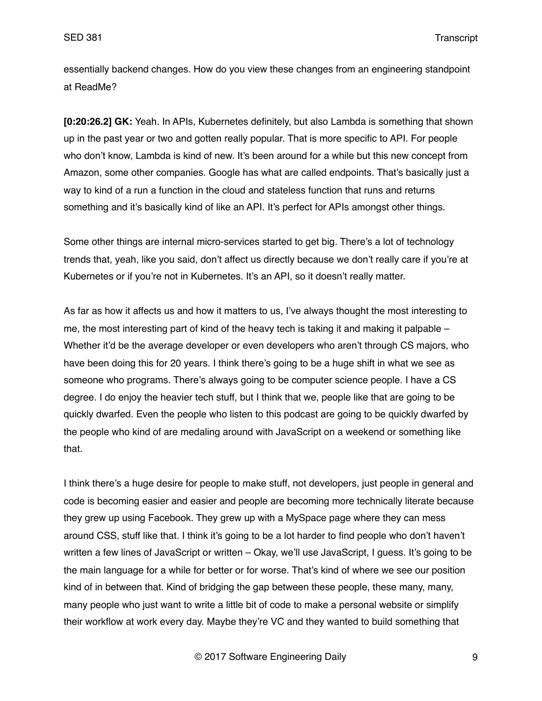essentially backend changes. How do you view these changes from an engineering standpoint at ReadMe?

**[0:20:26.2] GK:** Yeah. In APIs, Kubernetes definitely, but also Lambda is something that shown up in the past year or two and gotten really popular. That is more specific to API. For people who don't know, Lambda is kind of new. It's been around for a while but this new concept from Amazon, some other companies. Google has what are called endpoints. That's basically just a way to kind of a run a function in the cloud and stateless function that runs and returns something and it's basically kind of like an API. It's perfect for APIs amongst other things.

Some other things are internal micro-services started to get big. There's a lot of technology trends that, yeah, like you said, don't affect us directly because we don't really care if you're at Kubernetes or if you're not in Kubernetes. It's an API, so it doesn't really matter.

As far as how it affects us and how it matters to us, I've always thought the most interesting to me, the most interesting part of kind of the heavy tech is taking it and making it palpable – Whether it'd be the average developer or even developers who aren't through CS majors, who have been doing this for 20 years. I think there's going to be a huge shift in what we see as someone who programs. There's always going to be computer science people. I have a CS degree. I do enjoy the heavier tech stuff, but I think that we, people like that are going to be quickly dwarfed. Even the people who listen to this podcast are going to be quickly dwarfed by the people who kind of are medaling around with JavaScript on a weekend or something like that.

I think there's a huge desire for people to make stuff, not developers, just people in general and code is becoming easier and easier and people are becoming more technically literate because they grew up using Facebook. They grew up with a MySpace page where they can mess around CSS, stuff like that. I think it's going to be a lot harder to find people who don't haven't written a few lines of JavaScript or written – Okay, we'll use JavaScript, I quess. It's going to be the main language for a while for better or for worse. That's kind of where we see our position kind of in between that. Kind of bridging the gap between these people, these many, many, many people who just want to write a little bit of code to make a personal website or simplify their workflow at work every day. Maybe they're VC and they wanted to build something that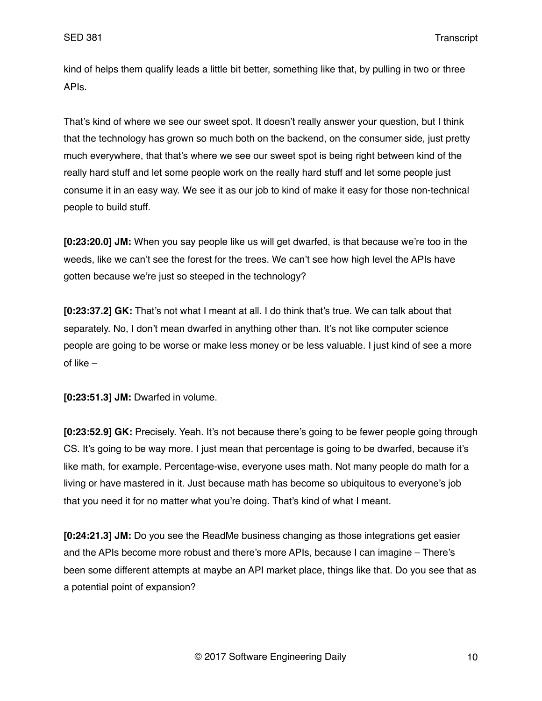kind of helps them qualify leads a little bit better, something like that, by pulling in two or three APIs.

That's kind of where we see our sweet spot. It doesn't really answer your question, but I think that the technology has grown so much both on the backend, on the consumer side, just pretty much everywhere, that that's where we see our sweet spot is being right between kind of the really hard stuff and let some people work on the really hard stuff and let some people just consume it in an easy way. We see it as our job to kind of make it easy for those non-technical people to build stuff.

**[0:23:20.0] JM:** When you say people like us will get dwarfed, is that because we're too in the weeds, like we can't see the forest for the trees. We can't see how high level the APIs have gotten because we're just so steeped in the technology?

**[0:23:37.2] GK:** That's not what I meant at all. I do think that's true. We can talk about that separately. No, I don't mean dwarfed in anything other than. It's not like computer science people are going to be worse or make less money or be less valuable. I just kind of see a more of like –

**[0:23:51.3] JM:** Dwarfed in volume.

**[0:23:52.9] GK:** Precisely. Yeah. It's not because there's going to be fewer people going through CS. It's going to be way more. I just mean that percentage is going to be dwarfed, because it's like math, for example. Percentage-wise, everyone uses math. Not many people do math for a living or have mastered in it. Just because math has become so ubiquitous to everyone's job that you need it for no matter what you're doing. That's kind of what I meant.

**[0:24:21.3] JM:** Do you see the ReadMe business changing as those integrations get easier and the APIs become more robust and there's more APIs, because I can imagine – There's been some different attempts at maybe an API market place, things like that. Do you see that as a potential point of expansion?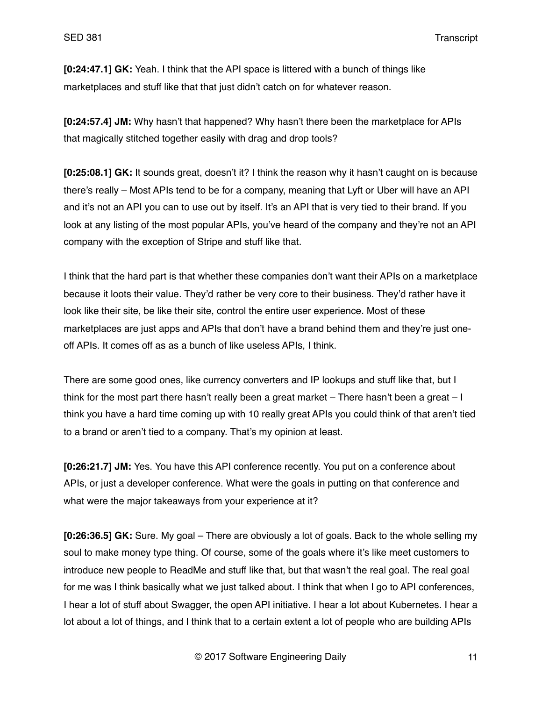**[0:24:47.1] GK:** Yeah. I think that the API space is littered with a bunch of things like marketplaces and stuff like that that just didn't catch on for whatever reason.

**[0:24:57.4] JM:** Why hasn't that happened? Why hasn't there been the marketplace for APIs that magically stitched together easily with drag and drop tools?

**[0:25:08.1] GK:** It sounds great, doesn't it? I think the reason why it hasn't caught on is because there's really – Most APIs tend to be for a company, meaning that Lyft or Uber will have an API and it's not an API you can to use out by itself. It's an API that is very tied to their brand. If you look at any listing of the most popular APIs, you've heard of the company and they're not an API company with the exception of Stripe and stuff like that.

I think that the hard part is that whether these companies don't want their APIs on a marketplace because it loots their value. They'd rather be very core to their business. They'd rather have it look like their site, be like their site, control the entire user experience. Most of these marketplaces are just apps and APIs that don't have a brand behind them and they're just oneoff APIs. It comes off as as a bunch of like useless APIs, I think.

There are some good ones, like currency converters and IP lookups and stuff like that, but I think for the most part there hasn't really been a great market – There hasn't been a great – I think you have a hard time coming up with 10 really great APIs you could think of that aren't tied to a brand or aren't tied to a company. That's my opinion at least.

**[0:26:21.7] JM:** Yes. You have this API conference recently. You put on a conference about APIs, or just a developer conference. What were the goals in putting on that conference and what were the major takeaways from your experience at it?

**[0:26:36.5] GK:** Sure. My goal – There are obviously a lot of goals. Back to the whole selling my soul to make money type thing. Of course, some of the goals where it's like meet customers to introduce new people to ReadMe and stuff like that, but that wasn't the real goal. The real goal for me was I think basically what we just talked about. I think that when I go to API conferences, I hear a lot of stuff about Swagger, the open API initiative. I hear a lot about Kubernetes. I hear a lot about a lot of things, and I think that to a certain extent a lot of people who are building APIs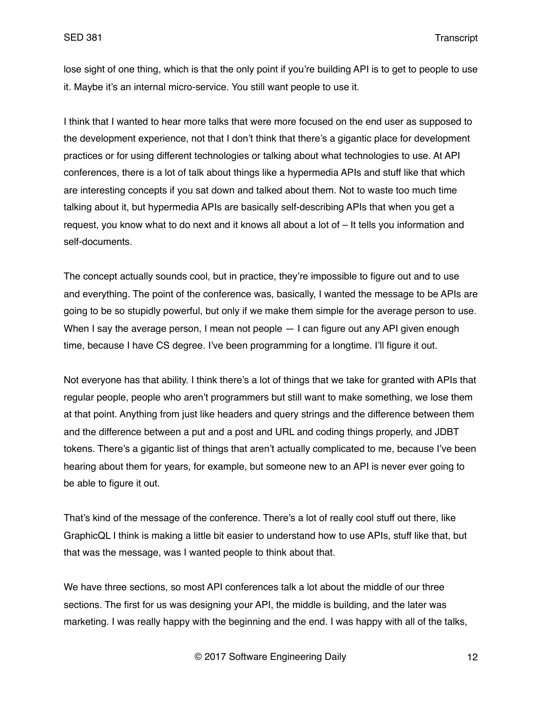lose sight of one thing, which is that the only point if you're building API is to get to people to use it. Maybe it's an internal micro-service. You still want people to use it.

I think that I wanted to hear more talks that were more focused on the end user as supposed to the development experience, not that I don't think that there's a gigantic place for development practices or for using different technologies or talking about what technologies to use. At API conferences, there is a lot of talk about things like a hypermedia APIs and stuff like that which are interesting concepts if you sat down and talked about them. Not to waste too much time talking about it, but hypermedia APIs are basically self-describing APIs that when you get a request, you know what to do next and it knows all about a lot of – It tells you information and self-documents.

The concept actually sounds cool, but in practice, they're impossible to figure out and to use and everything. The point of the conference was, basically, I wanted the message to be APIs are going to be so stupidly powerful, but only if we make them simple for the average person to use. When I say the average person, I mean not people  $-1$  can figure out any API given enough time, because I have CS degree. I've been programming for a longtime. I'll figure it out.

Not everyone has that ability. I think there's a lot of things that we take for granted with APIs that regular people, people who aren't programmers but still want to make something, we lose them at that point. Anything from just like headers and query strings and the difference between them and the difference between a put and a post and URL and coding things properly, and JDBT tokens. There's a gigantic list of things that aren't actually complicated to me, because I've been hearing about them for years, for example, but someone new to an API is never ever going to be able to figure it out.

That's kind of the message of the conference. There's a lot of really cool stuff out there, like GraphicQL I think is making a little bit easier to understand how to use APIs, stuff like that, but that was the message, was I wanted people to think about that.

We have three sections, so most API conferences talk a lot about the middle of our three sections. The first for us was designing your API, the middle is building, and the later was marketing. I was really happy with the beginning and the end. I was happy with all of the talks,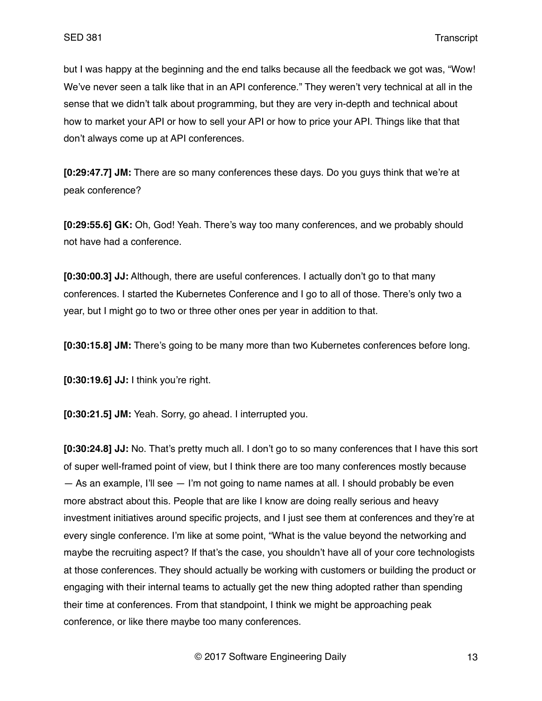but I was happy at the beginning and the end talks because all the feedback we got was, "Wow! We've never seen a talk like that in an API conference." They weren't very technical at all in the sense that we didn't talk about programming, but they are very in-depth and technical about how to market your API or how to sell your API or how to price your API. Things like that that don't always come up at API conferences.

**[0:29:47.7] JM:** There are so many conferences these days. Do you guys think that we're at peak conference?

**[0:29:55.6] GK:** Oh, God! Yeah. There's way too many conferences, and we probably should not have had a conference.

**[0:30:00.3] JJ:** Although, there are useful conferences. I actually don't go to that many conferences. I started the Kubernetes Conference and I go to all of those. There's only two a year, but I might go to two or three other ones per year in addition to that.

**[0:30:15.8] JM:** There's going to be many more than two Kubernetes conferences before long.

**[0:30:19.6] JJ:** I think you're right.

**[0:30:21.5] JM:** Yeah. Sorry, go ahead. I interrupted you.

**[0:30:24.8] JJ:** No. That's pretty much all. I don't go to so many conferences that I have this sort of super well-framed point of view, but I think there are too many conferences mostly because  $-$  As an example, I'll see  $-$  I'm not going to name names at all. I should probably be even more abstract about this. People that are like I know are doing really serious and heavy investment initiatives around specific projects, and I just see them at conferences and they're at every single conference. I'm like at some point, "What is the value beyond the networking and maybe the recruiting aspect? If that's the case, you shouldn't have all of your core technologists at those conferences. They should actually be working with customers or building the product or engaging with their internal teams to actually get the new thing adopted rather than spending their time at conferences. From that standpoint, I think we might be approaching peak conference, or like there maybe too many conferences.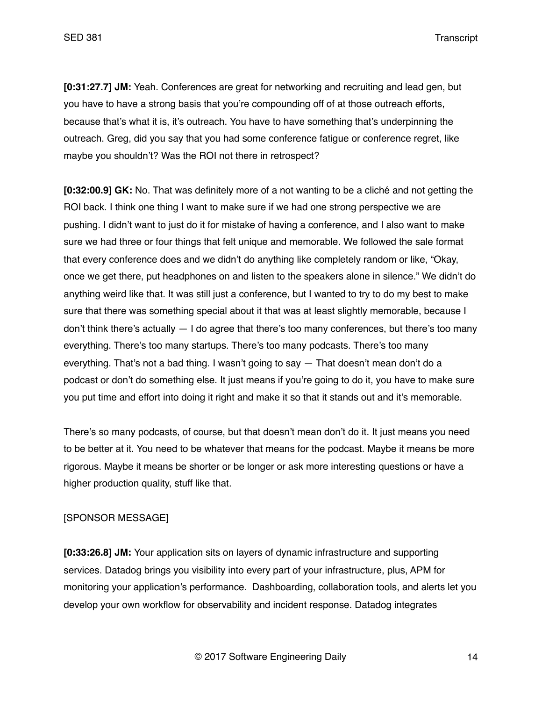**[0:31:27.7] JM:** Yeah. Conferences are great for networking and recruiting and lead gen, but you have to have a strong basis that you're compounding off of at those outreach efforts, because that's what it is, it's outreach. You have to have something that's underpinning the outreach. Greg, did you say that you had some conference fatigue or conference regret, like maybe you shouldn't? Was the ROI not there in retrospect?

**[0:32:00.9] GK:** No. That was definitely more of a not wanting to be a cliché and not getting the ROI back. I think one thing I want to make sure if we had one strong perspective we are pushing. I didn't want to just do it for mistake of having a conference, and I also want to make sure we had three or four things that felt unique and memorable. We followed the sale format that every conference does and we didn't do anything like completely random or like, "Okay, once we get there, put headphones on and listen to the speakers alone in silence." We didn't do anything weird like that. It was still just a conference, but I wanted to try to do my best to make sure that there was something special about it that was at least slightly memorable, because I don't think there's actually  $-1$  do agree that there's too many conferences, but there's too many everything. There's too many startups. There's too many podcasts. There's too many everything. That's not a bad thing. I wasn't going to say — That doesn't mean don't do a podcast or don't do something else. It just means if you're going to do it, you have to make sure you put time and effort into doing it right and make it so that it stands out and it's memorable.

There's so many podcasts, of course, but that doesn't mean don't do it. It just means you need to be better at it. You need to be whatever that means for the podcast. Maybe it means be more rigorous. Maybe it means be shorter or be longer or ask more interesting questions or have a higher production quality, stuff like that.

### [SPONSOR MESSAGE]

**[0:33:26.8] JM:** Your application sits on layers of dynamic infrastructure and supporting services. Datadog brings you visibility into every part of your infrastructure, plus, APM for monitoring your application's performance. Dashboarding, collaboration tools, and alerts let you develop your own workflow for observability and incident response. Datadog integrates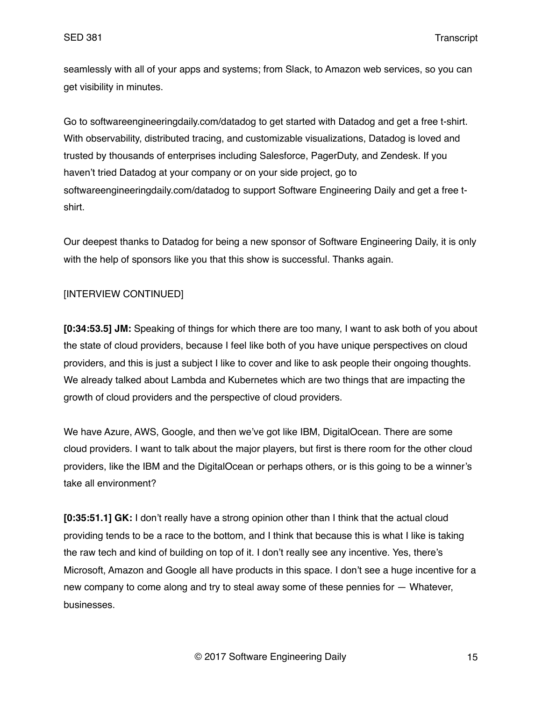seamlessly with all of your apps and systems; from Slack, to Amazon web services, so you can get visibility in minutes.

Go to softwareengineeringdaily.com/datadog to get started with Datadog and get a free t-shirt. With observability, distributed tracing, and customizable visualizations, Datadog is loved and trusted by thousands of enterprises including Salesforce, PagerDuty, and Zendesk. If you haven't tried Datadog at your company or on your side project, go to softwareengineeringdaily.com/datadog to support Software Engineering Daily and get a free tshirt.

Our deepest thanks to Datadog for being a new sponsor of Software Engineering Daily, it is only with the help of sponsors like you that this show is successful. Thanks again.

# [INTERVIEW CONTINUED]

**[0:34:53.5] JM:** Speaking of things for which there are too many, I want to ask both of you about the state of cloud providers, because I feel like both of you have unique perspectives on cloud providers, and this is just a subject I like to cover and like to ask people their ongoing thoughts. We already talked about Lambda and Kubernetes which are two things that are impacting the growth of cloud providers and the perspective of cloud providers.

We have Azure, AWS, Google, and then we've got like IBM, DigitalOcean. There are some cloud providers. I want to talk about the major players, but first is there room for the other cloud providers, like the IBM and the DigitalOcean or perhaps others, or is this going to be a winner's take all environment?

**[0:35:51.1] GK:** I don't really have a strong opinion other than I think that the actual cloud providing tends to be a race to the bottom, and I think that because this is what I like is taking the raw tech and kind of building on top of it. I don't really see any incentive. Yes, there's Microsoft, Amazon and Google all have products in this space. I don't see a huge incentive for a new company to come along and try to steal away some of these pennies for — Whatever, businesses.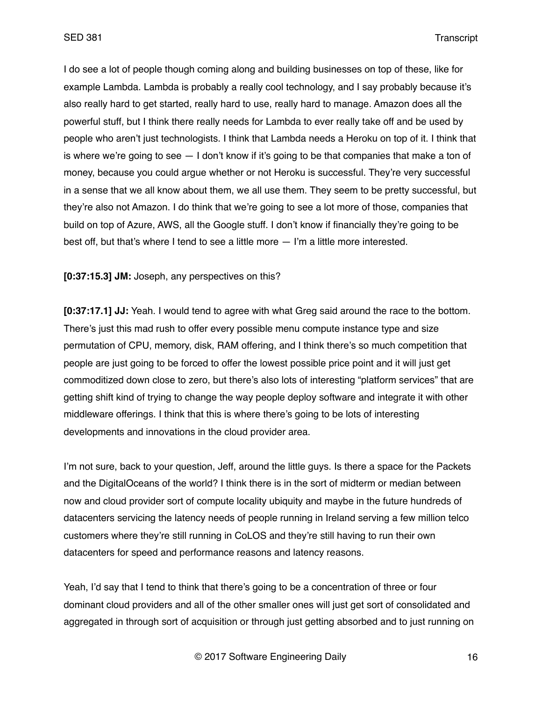I do see a lot of people though coming along and building businesses on top of these, like for example Lambda. Lambda is probably a really cool technology, and I say probably because it's also really hard to get started, really hard to use, really hard to manage. Amazon does all the powerful stuff, but I think there really needs for Lambda to ever really take off and be used by people who aren't just technologists. I think that Lambda needs a Heroku on top of it. I think that is where we're going to see  $-1$  don't know if it's going to be that companies that make a ton of money, because you could argue whether or not Heroku is successful. They're very successful in a sense that we all know about them, we all use them. They seem to be pretty successful, but they're also not Amazon. I do think that we're going to see a lot more of those, companies that build on top of Azure, AWS, all the Google stuff. I don't know if financially they're going to be best off, but that's where I tend to see a little more — I'm a little more interested.

**[0:37:15.3] JM:** Joseph, any perspectives on this?

**[0:37:17.1] JJ:** Yeah. I would tend to agree with what Greg said around the race to the bottom. There's just this mad rush to offer every possible menu compute instance type and size permutation of CPU, memory, disk, RAM offering, and I think there's so much competition that people are just going to be forced to offer the lowest possible price point and it will just get commoditized down close to zero, but there's also lots of interesting "platform services" that are getting shift kind of trying to change the way people deploy software and integrate it with other middleware offerings. I think that this is where there's going to be lots of interesting developments and innovations in the cloud provider area.

I'm not sure, back to your question, Jeff, around the little guys. Is there a space for the Packets and the DigitalOceans of the world? I think there is in the sort of midterm or median between now and cloud provider sort of compute locality ubiquity and maybe in the future hundreds of datacenters servicing the latency needs of people running in Ireland serving a few million telco customers where they're still running in CoLOS and they're still having to run their own datacenters for speed and performance reasons and latency reasons.

Yeah, I'd say that I tend to think that there's going to be a concentration of three or four dominant cloud providers and all of the other smaller ones will just get sort of consolidated and aggregated in through sort of acquisition or through just getting absorbed and to just running on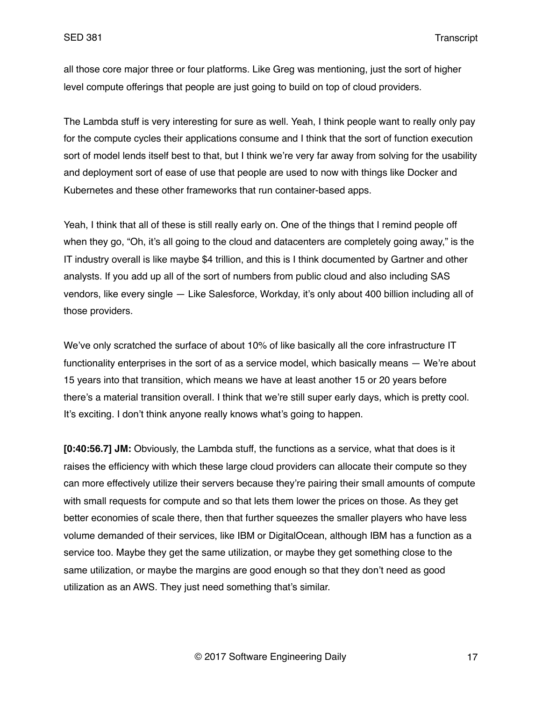all those core major three or four platforms. Like Greg was mentioning, just the sort of higher level compute offerings that people are just going to build on top of cloud providers.

The Lambda stuff is very interesting for sure as well. Yeah, I think people want to really only pay for the compute cycles their applications consume and I think that the sort of function execution sort of model lends itself best to that, but I think we're very far away from solving for the usability and deployment sort of ease of use that people are used to now with things like Docker and Kubernetes and these other frameworks that run container-based apps.

Yeah, I think that all of these is still really early on. One of the things that I remind people off when they go, "Oh, it's all going to the cloud and datacenters are completely going away," is the IT industry overall is like maybe \$4 trillion, and this is I think documented by Gartner and other analysts. If you add up all of the sort of numbers from public cloud and also including SAS vendors, like every single — Like Salesforce, Workday, it's only about 400 billion including all of those providers.

We've only scratched the surface of about 10% of like basically all the core infrastructure IT functionality enterprises in the sort of as a service model, which basically means — We're about 15 years into that transition, which means we have at least another 15 or 20 years before there's a material transition overall. I think that we're still super early days, which is pretty cool. It's exciting. I don't think anyone really knows what's going to happen.

**[0:40:56.7] JM:** Obviously, the Lambda stuff, the functions as a service, what that does is it raises the efficiency with which these large cloud providers can allocate their compute so they can more effectively utilize their servers because they're pairing their small amounts of compute with small requests for compute and so that lets them lower the prices on those. As they get better economies of scale there, then that further squeezes the smaller players who have less volume demanded of their services, like IBM or DigitalOcean, although IBM has a function as a service too. Maybe they get the same utilization, or maybe they get something close to the same utilization, or maybe the margins are good enough so that they don't need as good utilization as an AWS. They just need something that's similar.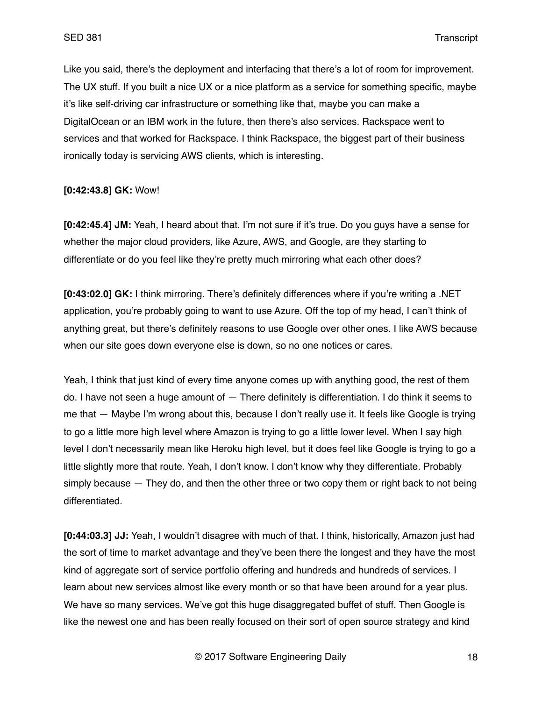Like you said, there's the deployment and interfacing that there's a lot of room for improvement. The UX stuff. If you built a nice UX or a nice platform as a service for something specific, maybe it's like self-driving car infrastructure or something like that, maybe you can make a DigitalOcean or an IBM work in the future, then there's also services. Rackspace went to services and that worked for Rackspace. I think Rackspace, the biggest part of their business ironically today is servicing AWS clients, which is interesting.

### **[0:42:43.8] GK:** Wow!

**[0:42:45.4] JM:** Yeah, I heard about that. I'm not sure if it's true. Do you guys have a sense for whether the major cloud providers, like Azure, AWS, and Google, are they starting to differentiate or do you feel like they're pretty much mirroring what each other does?

**[0:43:02.0] GK:** I think mirroring. There's definitely differences where if you're writing a .NET application, you're probably going to want to use Azure. Off the top of my head, I can't think of anything great, but there's definitely reasons to use Google over other ones. I like AWS because when our site goes down everyone else is down, so no one notices or cares.

Yeah, I think that just kind of every time anyone comes up with anything good, the rest of them do. I have not seen a huge amount of — There definitely is differentiation. I do think it seems to me that — Maybe I'm wrong about this, because I don't really use it. It feels like Google is trying to go a little more high level where Amazon is trying to go a little lower level. When I say high level I don't necessarily mean like Heroku high level, but it does feel like Google is trying to go a little slightly more that route. Yeah, I don't know. I don't know why they differentiate. Probably simply because — They do, and then the other three or two copy them or right back to not being differentiated.

**[0:44:03.3] JJ:** Yeah, I wouldn't disagree with much of that. I think, historically, Amazon just had the sort of time to market advantage and they've been there the longest and they have the most kind of aggregate sort of service portfolio offering and hundreds and hundreds of services. I learn about new services almost like every month or so that have been around for a year plus. We have so many services. We've got this huge disaggregated buffet of stuff. Then Google is like the newest one and has been really focused on their sort of open source strategy and kind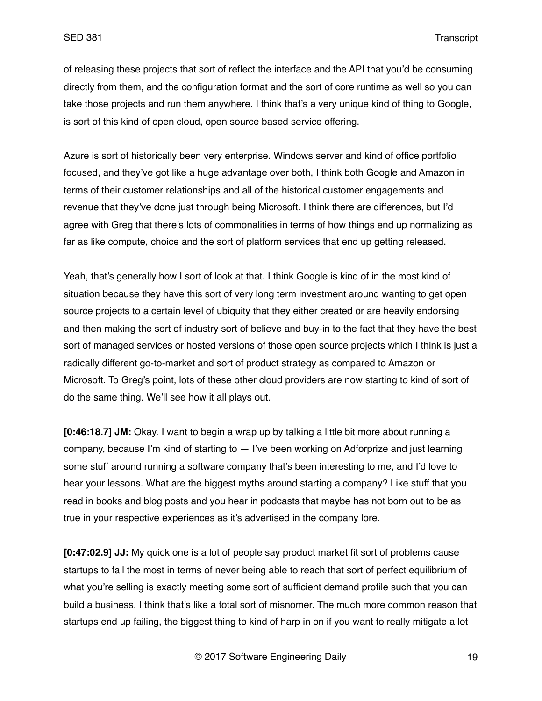of releasing these projects that sort of reflect the interface and the API that you'd be consuming directly from them, and the configuration format and the sort of core runtime as well so you can take those projects and run them anywhere. I think that's a very unique kind of thing to Google, is sort of this kind of open cloud, open source based service offering.

Azure is sort of historically been very enterprise. Windows server and kind of office portfolio focused, and they've got like a huge advantage over both, I think both Google and Amazon in terms of their customer relationships and all of the historical customer engagements and revenue that they've done just through being Microsoft. I think there are differences, but I'd agree with Greg that there's lots of commonalities in terms of how things end up normalizing as far as like compute, choice and the sort of platform services that end up getting released.

Yeah, that's generally how I sort of look at that. I think Google is kind of in the most kind of situation because they have this sort of very long term investment around wanting to get open source projects to a certain level of ubiquity that they either created or are heavily endorsing and then making the sort of industry sort of believe and buy-in to the fact that they have the best sort of managed services or hosted versions of those open source projects which I think is just a radically different go-to-market and sort of product strategy as compared to Amazon or Microsoft. To Greg's point, lots of these other cloud providers are now starting to kind of sort of do the same thing. We'll see how it all plays out.

**[0:46:18.7] JM:** Okay. I want to begin a wrap up by talking a little bit more about running a company, because I'm kind of starting to — I've been working on Adforprize and just learning some stuff around running a software company that's been interesting to me, and I'd love to hear your lessons. What are the biggest myths around starting a company? Like stuff that you read in books and blog posts and you hear in podcasts that maybe has not born out to be as true in your respective experiences as it's advertised in the company lore.

**[0:47:02.9] JJ:** My quick one is a lot of people say product market fit sort of problems cause startups to fail the most in terms of never being able to reach that sort of perfect equilibrium of what you're selling is exactly meeting some sort of sufficient demand profile such that you can build a business. I think that's like a total sort of misnomer. The much more common reason that startups end up failing, the biggest thing to kind of harp in on if you want to really mitigate a lot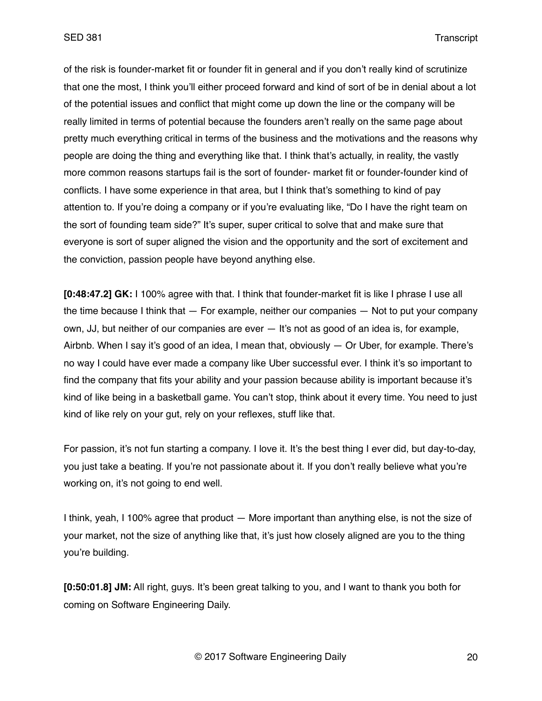of the risk is founder-market fit or founder fit in general and if you don't really kind of scrutinize that one the most, I think you'll either proceed forward and kind of sort of be in denial about a lot of the potential issues and conflict that might come up down the line or the company will be really limited in terms of potential because the founders aren't really on the same page about pretty much everything critical in terms of the business and the motivations and the reasons why people are doing the thing and everything like that. I think that's actually, in reality, the vastly more common reasons startups fail is the sort of founder- market fit or founder-founder kind of conflicts. I have some experience in that area, but I think that's something to kind of pay attention to. If you're doing a company or if you're evaluating like, "Do I have the right team on the sort of founding team side?" It's super, super critical to solve that and make sure that everyone is sort of super aligned the vision and the opportunity and the sort of excitement and the conviction, passion people have beyond anything else.

**[0:48:47.2] GK:** I 100% agree with that. I think that founder-market fit is like I phrase I use all the time because I think that — For example, neither our companies — Not to put your company own, JJ, but neither of our companies are ever — It's not as good of an idea is, for example, Airbnb. When I say it's good of an idea, I mean that, obviously — Or Uber, for example. There's no way I could have ever made a company like Uber successful ever. I think it's so important to find the company that fits your ability and your passion because ability is important because it's kind of like being in a basketball game. You can't stop, think about it every time. You need to just kind of like rely on your gut, rely on your reflexes, stuff like that.

For passion, it's not fun starting a company. I love it. It's the best thing I ever did, but day-to-day, you just take a beating. If you're not passionate about it. If you don't really believe what you're working on, it's not going to end well.

I think, yeah, I 100% agree that product — More important than anything else, is not the size of your market, not the size of anything like that, it's just how closely aligned are you to the thing you're building.

**[0:50:01.8] JM:** All right, guys. It's been great talking to you, and I want to thank you both for coming on Software Engineering Daily.